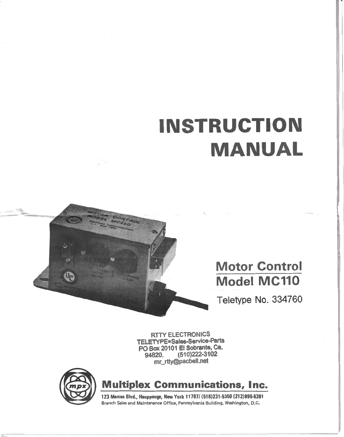# **INSTRUCTION MANUAL**

# **Motor Control Model MC110.**

Teletype No. 334760

RTIY ELECTRONICS TELETYPE=Sales-Service-Parts PO Box 20101 El Sobrante, Ca.<br>94820. (510) 222-3102 94820. (510)222-3102 mr\_rtty@pacbell.net



Up

**Multiplex Communications, Inc.** 

123 Marcus Blvd., Hauppauge, New York 11787/ (516)231·5350 (212)895-6391 Branch Sales and Maintenance Office, Pennsylvania Building, Washington, D.C.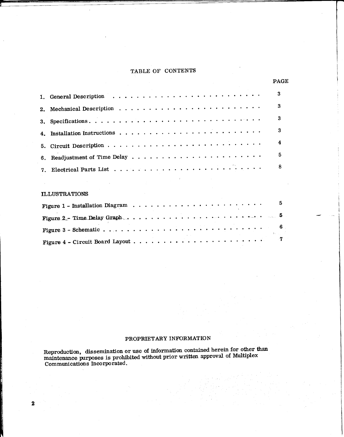# TABLE OF CONTENTS

|                                                                                     | <b>PAGE</b>  |
|-------------------------------------------------------------------------------------|--------------|
|                                                                                     | $\mathbf{3}$ |
| 2. Mechanical Description $\ldots \ldots \ldots \ldots \ldots \ldots \ldots \ldots$ | 3            |
|                                                                                     | 3            |
|                                                                                     | 3            |
|                                                                                     | 4            |
|                                                                                     | 5            |
|                                                                                     | 8            |
| <b>Contract</b>                                                                     |              |
|                                                                                     |              |

## ILLUSTRATIONS

2

|                                                                                                                                  |  |  |  |  |  |  |  |  |  |  |  | 5 |  |
|----------------------------------------------------------------------------------------------------------------------------------|--|--|--|--|--|--|--|--|--|--|--|---|--|
| Figure 2 - Time Delay Graph $\ldots$ $\ldots$ $\ldots$ $\ldots$ $\ldots$ $\ldots$ $\ldots$ $\ldots$ $\ldots$ $\ldots$ $\ldots$ 5 |  |  |  |  |  |  |  |  |  |  |  |   |  |
|                                                                                                                                  |  |  |  |  |  |  |  |  |  |  |  |   |  |
|                                                                                                                                  |  |  |  |  |  |  |  |  |  |  |  |   |  |

-- i

# PROPRIETARY INFORMATION

Reproduction, dissemination or use of information contained herein for other than maintenance purposes is prohibited without prior written approval of Multiplex Communications Incorporated.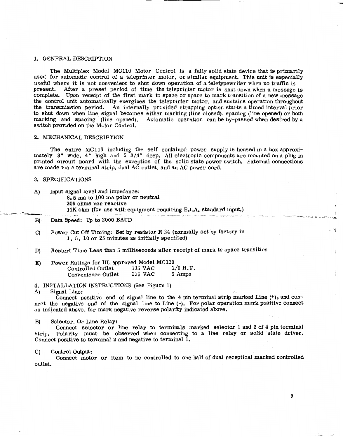#### 1. GENERAL DESCRIPTION

The Multiplex Model MCllO Motor Control is a fully solid state device that is primarily used for automatic control of a teleprinter motor, or similar equipment. This unit is especially useful where it is not convenient to shut down operation of a teletypewriter when no traffic is present. Mter a preset period of time the teleprinter motor is shut down when a message is complete. Upon receipt of the first mark to space or space to mark transition of a new message the control unit automatically energizes the teleprinter motor, and sustains operation throughout the transmission period. An internally provided strapping option starts a timed interval prior to shut down when line signal becomes either marking (line closed), spacing (line opened) or both marking and spacing (line opened). Automatic operation can be by-passed when desired by a switch provided on the Motor Control.

#### 2. MECHANICAL DESCRIPTION

The entire MCllO including the self contained power supply is housed in a box approximately 3" wide, 4" high and 5 3/4" deep. All electronic components are mounted on a plug in printed circuit board with the exception of the solid state power switch. External connections are made via a terminal strip, dual AC outlet, and an AC power cord.

-~--------·

#### 3. SPECIFICATIONS

- A) Input signal level and impedance: 8. 5 ma to 100 ma polar or neutral 200 ohms non reactive 14K ohm (for use with equipment requiring E.I.A. standard input.)
- B) Data Speed: Up to 2000 BAUD
- C) Power Cut Off Timing: Set by resistor R 24 (normally set by factory in 1, 5, 10 or 25 minutes as initially specified)
- D) Restart Time Less than 5 milliseconds after receipt of mark to space transition
- E) Power Ratings for UL approved Model MC110<br>Controlled Outlet 115 VAC 1/6 H.P. Controlled Outlet 115 VAC 1/6 H.F.<br>Convenience Outlet 115 VAC 5 Amps Convenience Outlet

4. INSTALLATION INSTRUCTIONS (See Figure 1)

A) Signal Line:

Connect positive end of signal line to the 4 pin terminal strip marked Line (+), and connect the negative end of the signal line to Line (-). For polar operation mark positive connect as indicated above, for mark negative reverse polarity indicated above.

#### B) Selector, Or Line Relay:

Connect selector or line relay to terminals marked selector 1 and 2 of 4 pin terminal strip. Polarity must be observed when connecting to a line relay or solid state driver. Connect positive to terminal 2 and negative to terminal 1.

#### C) Control Output:

Connect motor or item to be controlled to one half of dual receptical marked controlled outlet.

I  $\rightarrow$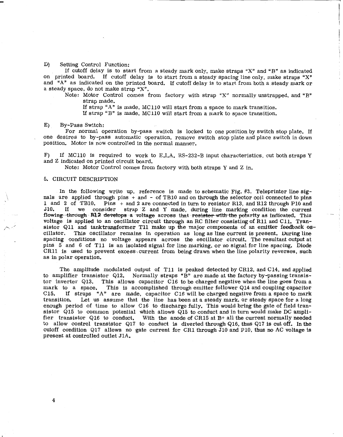#### D) Setting Control Function:

If cutoff delay is to start from a steady mark only, make straps "X" and "B" as indicated on printed board. If cutoff delay is to start from a steady spacing line only, make straps "X" and "A" as indicated on the printed board. If cutoff delay is to start from both a steady mark or a steady space, do not make strap "X".

Note: Motor Control comes from factory with strap "X" normally unstrapped, and "B" strap made.

If strap "A" is made, MC 110 will start from a space to mark transition.

If strap "B" is made, MCllO will start from a mark to space transition.

#### E) By-Pass Switch:

For normal operation by-pass switch is locked to one position by switch stop plate. If one desires to by-pass automatic operation, remove switch stop plate and place switch in down position. Motor is now controlled in the normal manner.

F) If MCllO is required to work to E.I.A. RS-232-B input characteristics, cut both straps Y and Z indicated on printed circuit board.

Note: Motor Control comes from factory with both straps Y and Z in.

#### 5. CIRCUIT DESCRIPTION

In the following write up, reference is made to schematic Fig. #3. Teleprinter line signals are applied through pins + and - of TBIO and on through the selector coil connected to pins 1 and 2 of TB10. Pins  $+$  and 2 are connected in turn to resistor R13, and R12 through P10 and J10. If we consider strap  $Z$  and Y made during line marking condition the current If we consider strap  $Z$  and  $Y$  made, during line marking condition the current flowing through R12 develops a voltage across that resistor with the polarity as indicated. This voltage is applied to an oscillator circuit through an RC filter consisting of Rll and Cll. Transistor Q11 and tanktransformer T11 make up the major components of an emitter feedback os-<br>cillator. This oscillator remains in operation as long as line current is present. During line This oscillator remains in operation as long as line current is present. During line spacing conditions no voltage appears across the oscillator circuit. The resultant output at pins 5 and 6 of Tll is an isolated signal for line marking, or no signal for line spacing. Diode CRll is used to prevent excess, current from being drawn when the line polarity reverses, such as in polar operation.

The amplitude modulated output of T11 is peaked detected by CR12, and C14, and applied<br>to amplifier transistor Q12. Normally straps "B" are made at the factory by-passing transis-Normally straps "B" are made at the factory by-passing transistor inverter Q13. This allows capacitor C16 to be charged negative when the line goes from a mark to a space. This is accomplished through emitter follower  $Q14$  and coupling capacitor C15. If straps "A" are made, capacitor C16 will be charged negative from a space to mark If straps "A" are made, capacitor C16 will be charged negative from a space to mark transition. Let us assume that the line has been at a steady mark, or steady space for a long enough period of time to allow C16 to discharge fully. This would bring the gate of field transistor Q15 to common potential which allows Q15 to conduct and in turn would make DC amplifier transistor Q16 to conduct. With the anode of CR15 at B+ all the current normally needed to allow control transistor Q17 to conduct is diverted through Ql6, thus Q17 is cut off. In the cutoff condition Q17 allows no gate current for CR1 through  $J10$  and P10, thus no AC voltage is present at controlled outlet JlA.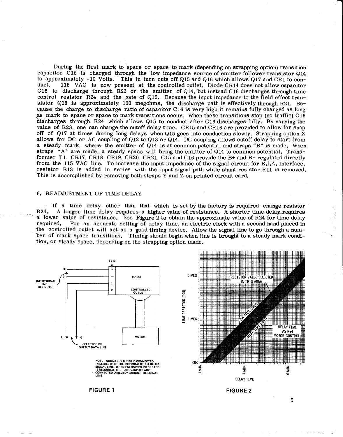During the first mark to space or space to mark (depending on strapping option) transition capacitor C16 is charged through the low impedance source of emitter follower transistor Q14 to approximately -10 Volts. This in turn cuts off Q15 and Q16 which allows Q17 and CR1 to con-<br>duct. 115 VAC is now present at the controlled outlet. Diode CR14 does not allow canacitor 115 VAC is now present at the controlled outlet. Diode CR14 does not allow capacitor C16 to discharge through R23 or the emitter of Q14, but instead C16 discharges through time control resistor R24 and the gate of Q15. Because the input impedance to the field effect transistor Q15 is approximately 100 megohms, the discharge path is effectively through R21. Because the charge to discharge ratio of capacitor C 16 is very high it remains fully charged as long as mark to space or space to mark transitions occur. When these transitions stop (no traffic) C16 discharges through R24 which allows Q15 to conduct after C16 discharges fully. By varying the value of R23, one can change the cutoff delay time. CR15 and CR16 are provided to allow for snap off of Q17 at times during long delays when Q15 goes into conduction slowly. Strapping option  $\bar{X}$ allows for DC or AC coupling of  $Q12$  to  $Q13$  or  $Q14$ . DC coupling allows cutoff delay to start from a steady mark, where the emitter of  $Q14$  is at common potential and straps "B" is made. When straps "A" are made, a steady space will bring the emitter of Q14 to common potential. Transformer T1, CR17, CR18, CR19, CR20, CR21, C15 and C16 provide the B+ and B- regulated directly from the 115 VAC line. To increase the input impedance of the signal circuit for E.I.A. interface, resistor R13 is added in series with the input signal path while shunt resistor Rll is removed. This is accomplished by removing both straps  $\overline{Y}$  and  $\overline{Z}$  on printed circuit card.

#### 6. READJUSTMENT OF TIME DELAY

If a time delay other than that which is set by the factory is required, change resistor R24. A longer time delay requires a higher value of resistance. A shorter time delay requires a lower value of resistance. See Figure 2 to obtain the approximate value of R24 for time delay required. For an accurate setting of delay time, an electric clock with a second hand placed in For an accurate setting of delay time, an electric clock with a second hand placed in the controlled outlet will act as a good timing device. Allow the signal line to go through a number of mark space transitions. Timing should begin when line is brought to a steady mark condition, or steady space, depending on the strapping option made.



5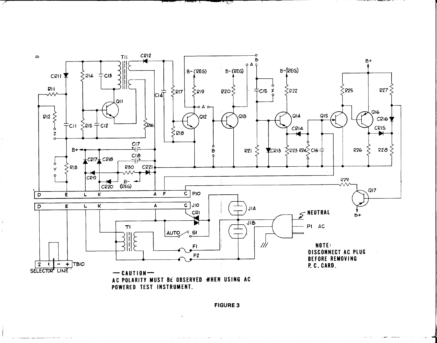

ستستبيع

**FIGURE 3**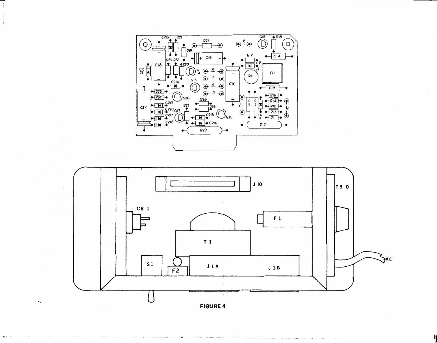



 $\sim$  0.000  $\sim$  0.000  $\sim$  $\sim$   $\sim$ 

 $\overline{\mathbf{r}}$ 

 $\mathbf{v}_S \sim \mathbf{v}$ 

 $\mathbf{r}$